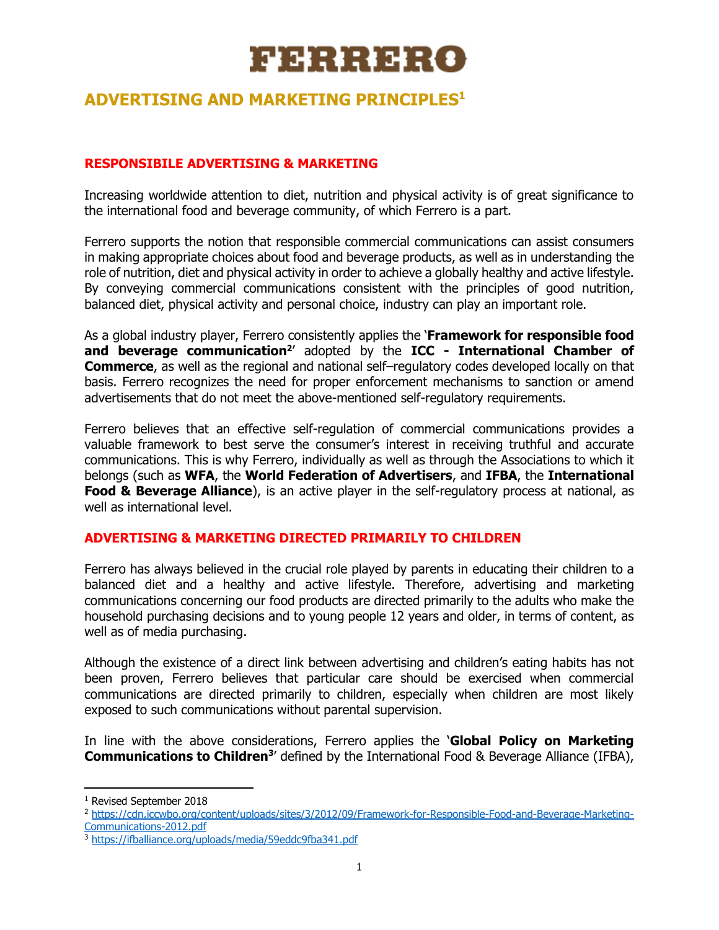# Ferrero

## **ADVERTISING AND MARKETING PRINCIPLES<sup>1</sup>**

### **RESPONSIBILE ADVERTISING & MARKETING**

Increasing worldwide attention to diet, nutrition and physical activity is of great significance to the international food and beverage community, of which Ferrero is a part.

Ferrero supports the notion that responsible commercial communications can assist consumers in making appropriate choices about food and beverage products, as well as in understanding the role of nutrition, diet and physical activity in order to achieve a globally healthy and active lifestyle. By conveying commercial communications consistent with the principles of good nutrition, balanced diet, physical activity and personal choice, industry can play an important role.

As a global industry player, Ferrero consistently applies the '**Framework for responsible food and beverage communication<sup>2</sup>' adopted by the ICC - International Chamber of Commerce**, as well as the regional and national self–regulatory codes developed locally on that basis. Ferrero recognizes the need for proper enforcement mechanisms to sanction or amend advertisements that do not meet the above-mentioned self-regulatory requirements.

Ferrero believes that an effective self-regulation of commercial communications provides a valuable framework to best serve the consumer's interest in receiving truthful and accurate communications. This is why Ferrero, individually as well as through the Associations to which it belongs (such as **WFA**, the **World Federation of Advertisers**, and **IFBA**, the **International Food & Beverage Alliance**), is an active player in the self-regulatory process at national, as well as international level.

### **ADVERTISING & MARKETING DIRECTED PRIMARILY TO CHILDREN**

Ferrero has always believed in the crucial role played by parents in educating their children to a balanced diet and a healthy and active lifestyle. Therefore, advertising and marketing communications concerning our food products are directed primarily to the adults who make the household purchasing decisions and to young people 12 years and older, in terms of content, as well as of media purchasing.

Although the existence of a direct link between advertising and children's eating habits has not been proven, Ferrero believes that particular care should be exercised when commercial communications are directed primarily to children, especially when children are most likely exposed to such communications without parental supervision.

In line with the above considerations, Ferrero applies the '**Global Policy on Marketing Communications to Children<sup>3</sup>'** defined by the International Food & Beverage Alliance (IFBA),

 $\overline{\phantom{a}}$ 

<sup>1</sup> Revised September 2018

<sup>2</sup> [https://cdn.iccwbo.org/content/uploads/sites/3/2012/09/Framework-for-Responsible-Food-and-Beverage-Marketing-](https://cdn.iccwbo.org/content/uploads/sites/3/2012/09/Framework-for-Responsible-Food-and-Beverage-Marketing-Communications-2012.pdf)[Communications-2012.pdf](https://cdn.iccwbo.org/content/uploads/sites/3/2012/09/Framework-for-Responsible-Food-and-Beverage-Marketing-Communications-2012.pdf)

<sup>3</sup> <https://ifballiance.org/uploads/media/59eddc9fba341.pdf>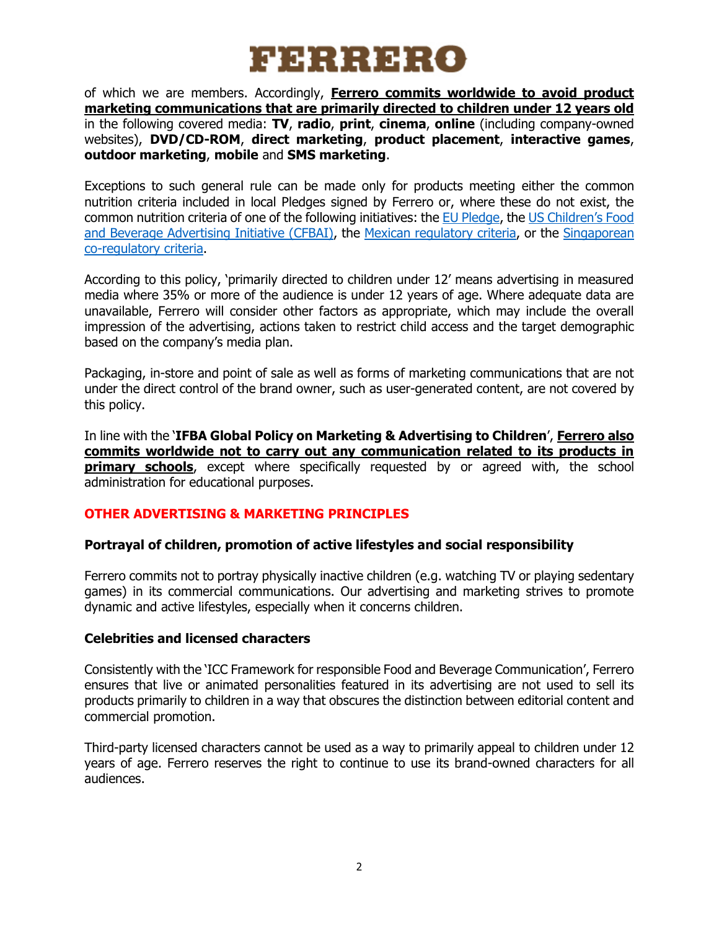# Ferrero

of which we are members. Accordingly, **Ferrero commits worldwide to avoid product marketing communications that are primarily directed to children under 12 years old** in the following covered media: **TV**, **radio**, **print**, **cinema**, **online** (including company-owned websites), **DVD/CD-ROM**, **direct marketing**, **product placement**, **interactive games**, **outdoor marketing**, **mobile** and **SMS marketing**.

Exceptions to such general rule can be made only for products meeting either the common nutrition criteria included in local Pledges signed by Ferrero or, where these do not exist, the common nutrition criteria of one of the following initiatives: the [EU Pledge,](http://www.eu-pledge.eu/content/eu-pledge-nutrition-criteria) the [US Children's Food](https://bbbprograms.org/siteassets/documents/cfbai/cfbai-white-paper-final-pdf.pdf?_sm_au_=iVV0wW0wcVD1N2Tr)  and [Beverage Advertising Initiative \(CFBAI\),](https://bbbprograms.org/siteassets/documents/cfbai/cfbai-white-paper-final-pdf.pdf?_sm_au_=iVV0wW0wcVD1N2Tr) the [Mexican regulatory criteria,](http://dof.gob.mx/nota_detalle.php?codigo=5340694&fecha=15/04/2014) or the [Singaporean](https://asas.org.sg/Portals/0/Images/ASAS/news/Children_Code/Common_Nutrition_Criteria_White_Paper.pdf)  [co-regulatory criteria.](https://asas.org.sg/Portals/0/Images/ASAS/news/Children_Code/Common_Nutrition_Criteria_White_Paper.pdf)

According to this policy, 'primarily directed to children under 12' means advertising in measured media where 35% or more of the audience is under 12 years of age. Where adequate data are unavailable, Ferrero will consider other factors as appropriate, which may include the overall impression of the advertising, actions taken to restrict child access and the target demographic based on the company's media plan.

Packaging, in-store and point of sale as well as forms of marketing communications that are not under the direct control of the brand owner, such as user-generated content, are not covered by this policy.

In line with the '**IFBA Global Policy on Marketing & Advertising to Children**', **Ferrero also commits worldwide not to carry out any communication related to its products in primary schools**, except where specifically requested by or agreed with, the school administration for educational purposes.

### **OTHER ADVERTISING & MARKETING PRINCIPLES**

#### **Portrayal of children, promotion of active lifestyles and social responsibility**

Ferrero commits not to portray physically inactive children (e.g. watching TV or playing sedentary games) in its commercial communications. Our advertising and marketing strives to promote dynamic and active lifestyles, especially when it concerns children.

#### **Celebrities and licensed characters**

Consistently with the 'ICC Framework for responsible Food and Beverage Communication', Ferrero ensures that live or animated personalities featured in its advertising are not used to sell its products primarily to children in a way that obscures the distinction between editorial content and commercial promotion.

Third-party licensed characters cannot be used as a way to primarily appeal to children under 12 years of age. Ferrero reserves the right to continue to use its brand-owned characters for all audiences.